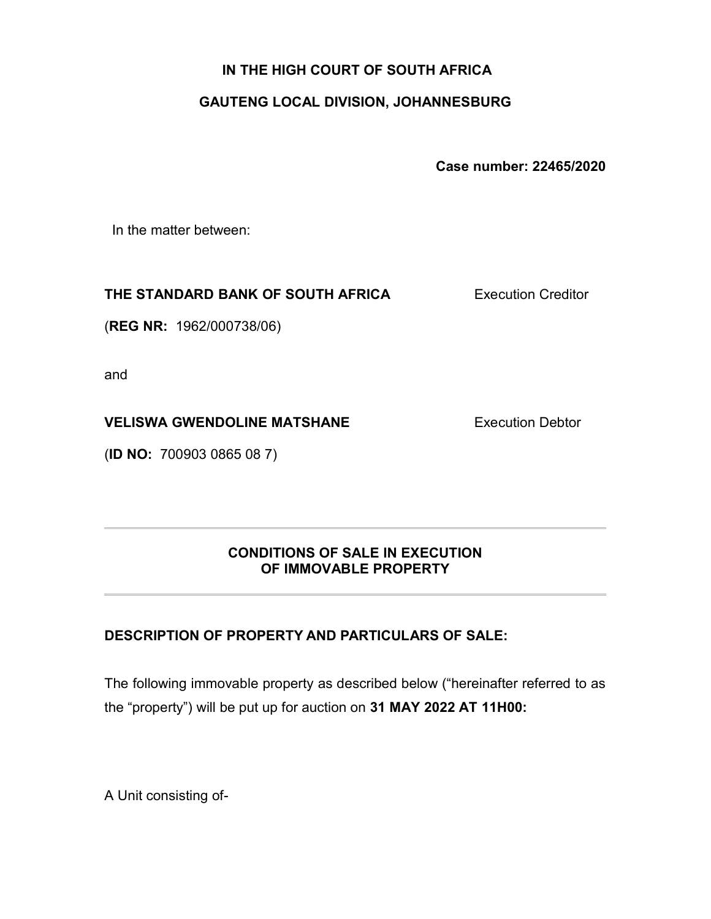# IN THE HIGH COURT OF SOUTH AFRICA

# GAUTENG LOCAL DIVISION, JOHANNESBURG

Case number: 22465/2020

In the matter between:

### THE STANDARD BANK OF SOUTH AFRICA

Execution Creditor

(REG NR: 1962/000738/06)

and

# VELISWA GWENDOLINE MATSHANE

(ID NO: 700903 0865 08 7)

Execution Debtor

### CONDITIONS OF SALE IN EXECUTION OF IMMOVABLE PROPERTY

# DESCRIPTION OF PROPERTY AND PARTICULARS OF SALE:

The following immovable property as described below ("hereinafter referred to as the "property") will be put up for auction on 31 MAY 2022 AT 11H00:

A Unit consisting of-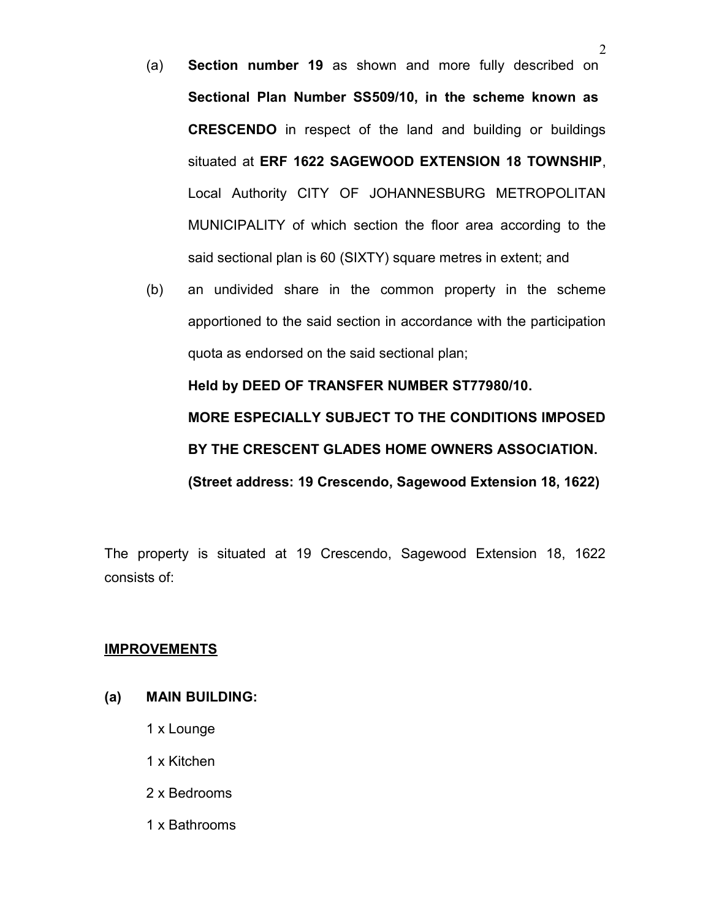- (a) Section number 19 as shown and more fully described on Sectional Plan Number SS509/10, in the scheme known as CRESCENDO in respect of the land and building or buildings situated at ERF 1622 SAGEWOOD EXTENSION 18 TOWNSHIP, Local Authority CITY OF JOHANNESBURG METROPOLITAN MUNICIPALITY of which section the floor area according to the said sectional plan is 60 (SIXTY) square metres in extent; and
- (b) an undivided share in the common property in the scheme apportioned to the said section in accordance with the participation quota as endorsed on the said sectional plan;

Held by DEED OF TRANSFER NUMBER ST77980/10. MORE ESPECIALLY SUBJECT TO THE CONDITIONS IMPOSED BY THE CRESCENT GLADES HOME OWNERS ASSOCIATION. (Street address: 19 Crescendo, Sagewood Extension 18, 1622)

The property is situated at 19 Crescendo, Sagewood Extension 18, 1622 consists of:

#### IMPROVEMENTS

### (a) MAIN BUILDING:

- 1 x Lounge
- 1 x Kitchen
- 2 x Bedrooms
- 1 x Bathrooms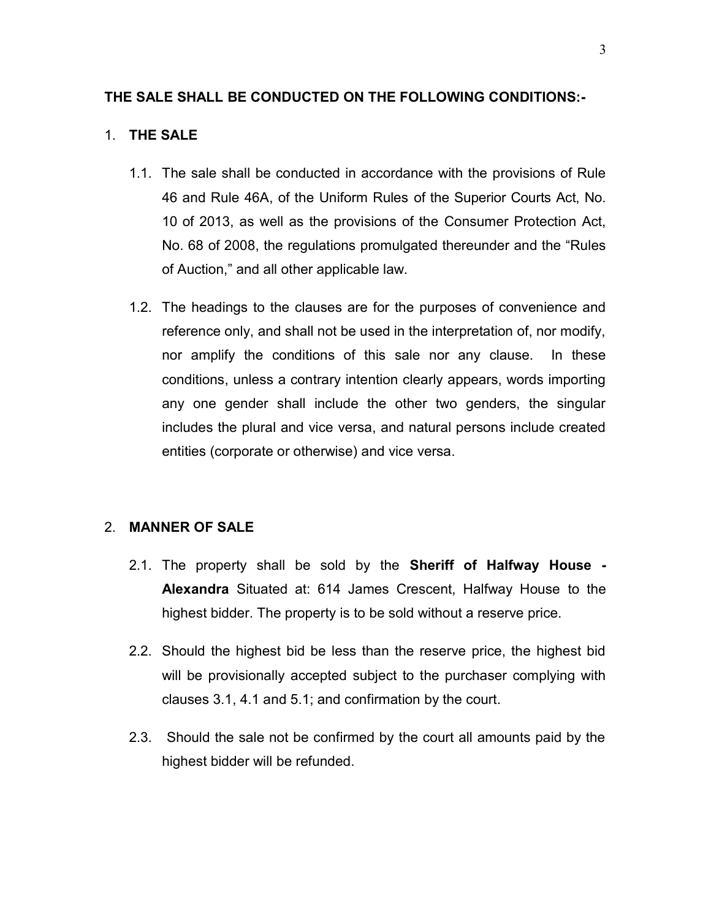#### THE SALE SHALL BE CONDUCTED ON THE FOLLOWING CONDITIONS:-

### 1. THE SALE

- 1.1. The sale shall be conducted in accordance with the provisions of Rule 46 and Rule 46A, of the Uniform Rules of the Superior Courts Act, No. 10 of 2013, as well as the provisions of the Consumer Protection Act, No. 68 of 2008, the regulations promulgated thereunder and the "Rules of Auction," and all other applicable law.
- 1.2. The headings to the clauses are for the purposes of convenience and reference only, and shall not be used in the interpretation of, nor modify, nor amplify the conditions of this sale nor any clause. In these conditions, unless a contrary intention clearly appears, words importing any one gender shall include the other two genders, the singular includes the plural and vice versa, and natural persons include created entities (corporate or otherwise) and vice versa.

#### 2. MANNER OF SALE

- 2.1. The property shall be sold by the Sheriff of Halfway House Alexandra Situated at: 614 James Crescent, Halfway House to the highest bidder. The property is to be sold without a reserve price.
- 2.2. Should the highest bid be less than the reserve price, the highest bid will be provisionally accepted subject to the purchaser complying with clauses 3.1, 4.1 and 5.1; and confirmation by the court.
- 2.3. Should the sale not be confirmed by the court all amounts paid by the highest bidder will be refunded.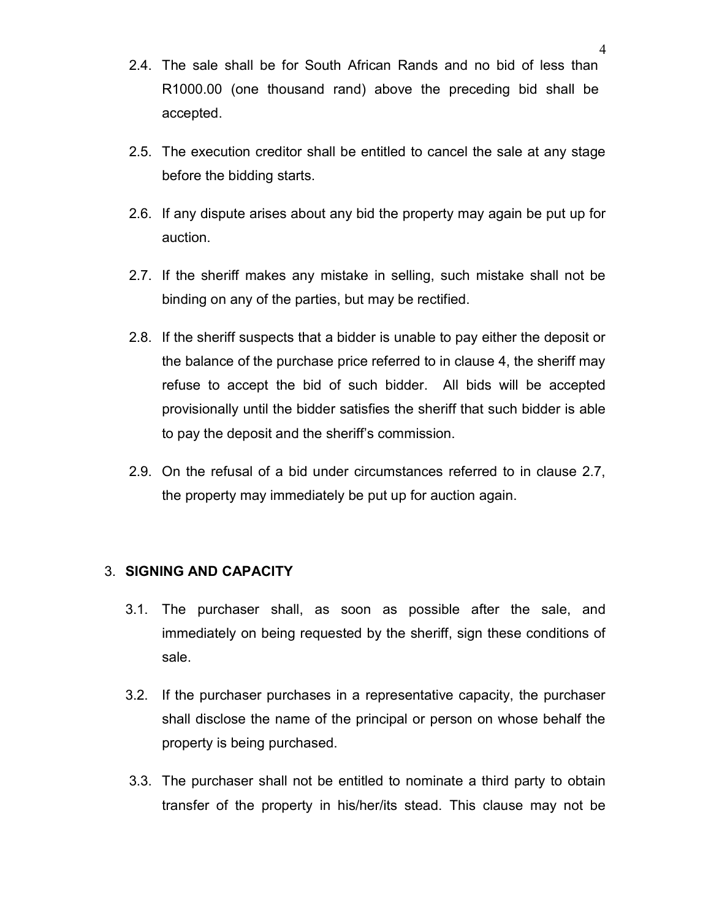- 2.4. The sale shall be for South African Rands and no bid of less than R1000.00 (one thousand rand) above the preceding bid shall be accepted.
- 2.5. The execution creditor shall be entitled to cancel the sale at any stage before the bidding starts.
- 2.6. If any dispute arises about any bid the property may again be put up for auction.
- 2.7. If the sheriff makes any mistake in selling, such mistake shall not be binding on any of the parties, but may be rectified.
- 2.8. If the sheriff suspects that a bidder is unable to pay either the deposit or the balance of the purchase price referred to in clause 4, the sheriff may refuse to accept the bid of such bidder. All bids will be accepted provisionally until the bidder satisfies the sheriff that such bidder is able to pay the deposit and the sheriff's commission.
- 2.9. On the refusal of a bid under circumstances referred to in clause 2.7, the property may immediately be put up for auction again.

#### 3. SIGNING AND CAPACITY

- 3.1. The purchaser shall, as soon as possible after the sale, and immediately on being requested by the sheriff, sign these conditions of sale.
- 3.2. If the purchaser purchases in a representative capacity, the purchaser shall disclose the name of the principal or person on whose behalf the property is being purchased.
- 3.3. The purchaser shall not be entitled to nominate a third party to obtain transfer of the property in his/her/its stead. This clause may not be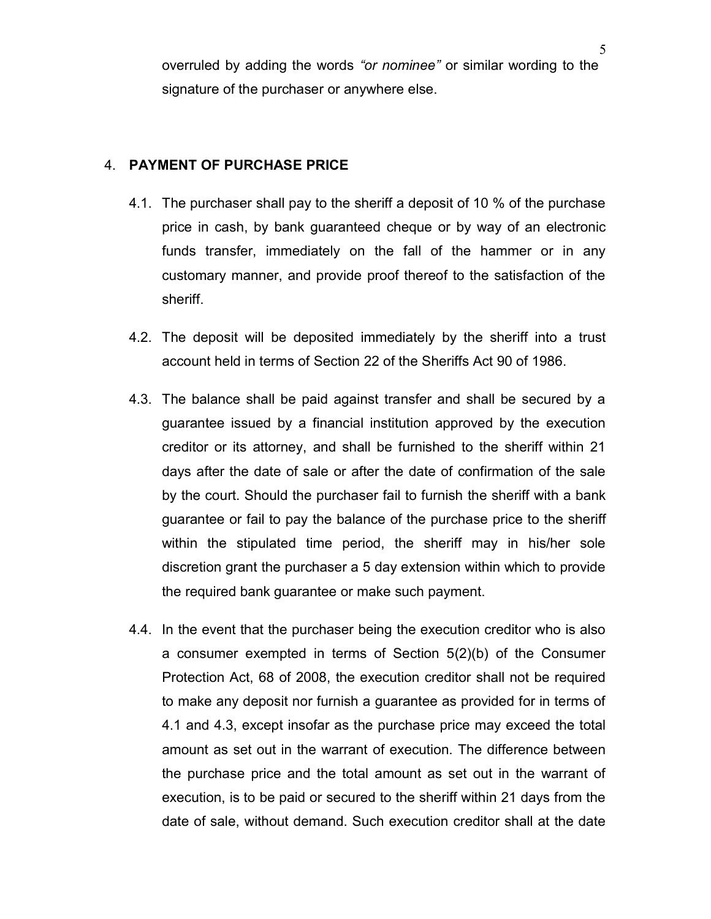overruled by adding the words "or nominee" or similar wording to the signature of the purchaser or anywhere else.

#### 4. PAYMENT OF PURCHASE PRICE

- 4.1. The purchaser shall pay to the sheriff a deposit of 10 % of the purchase price in cash, by bank guaranteed cheque or by way of an electronic funds transfer, immediately on the fall of the hammer or in any customary manner, and provide proof thereof to the satisfaction of the sheriff.
- 4.2. The deposit will be deposited immediately by the sheriff into a trust account held in terms of Section 22 of the Sheriffs Act 90 of 1986.
- 4.3. The balance shall be paid against transfer and shall be secured by a guarantee issued by a financial institution approved by the execution creditor or its attorney, and shall be furnished to the sheriff within 21 days after the date of sale or after the date of confirmation of the sale by the court. Should the purchaser fail to furnish the sheriff with a bank guarantee or fail to pay the balance of the purchase price to the sheriff within the stipulated time period, the sheriff may in his/her sole discretion grant the purchaser a 5 day extension within which to provide the required bank guarantee or make such payment.
- 4.4. In the event that the purchaser being the execution creditor who is also a consumer exempted in terms of Section 5(2)(b) of the Consumer Protection Act, 68 of 2008, the execution creditor shall not be required to make any deposit nor furnish a guarantee as provided for in terms of 4.1 and 4.3, except insofar as the purchase price may exceed the total amount as set out in the warrant of execution. The difference between the purchase price and the total amount as set out in the warrant of execution, is to be paid or secured to the sheriff within 21 days from the date of sale, without demand. Such execution creditor shall at the date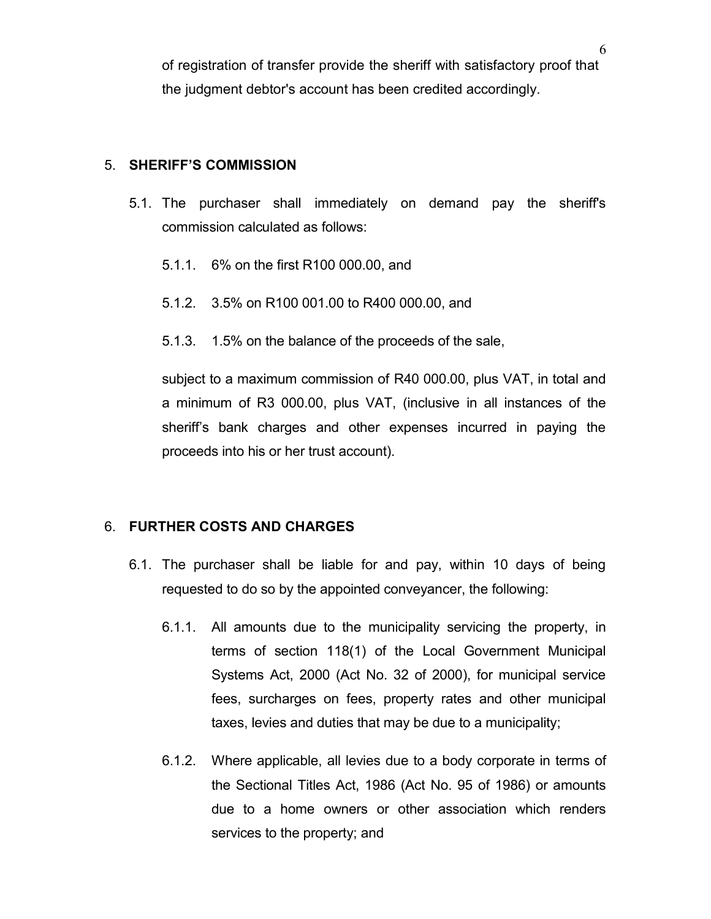of registration of transfer provide the sheriff with satisfactory proof that the judgment debtor's account has been credited accordingly.

#### 5. SHERIFF'S COMMISSION

- 5.1. The purchaser shall immediately on demand pay the sheriff's commission calculated as follows:
	- 5.1.1. 6% on the first R100 000.00, and
	- 5.1.2. 3.5% on R100 001.00 to R400 000.00, and
	- 5.1.3. 1.5% on the balance of the proceeds of the sale,

subject to a maximum commission of R40 000.00, plus VAT, in total and a minimum of R3 000.00, plus VAT, (inclusive in all instances of the sheriff's bank charges and other expenses incurred in paying the proceeds into his or her trust account).

#### 6. FURTHER COSTS AND CHARGES

- 6.1. The purchaser shall be liable for and pay, within 10 days of being requested to do so by the appointed conveyancer, the following:
	- 6.1.1. All amounts due to the municipality servicing the property, in terms of section 118(1) of the Local Government Municipal Systems Act, 2000 (Act No. 32 of 2000), for municipal service fees, surcharges on fees, property rates and other municipal taxes, levies and duties that may be due to a municipality;
	- 6.1.2. Where applicable, all levies due to a body corporate in terms of the Sectional Titles Act, 1986 (Act No. 95 of 1986) or amounts due to a home owners or other association which renders services to the property; and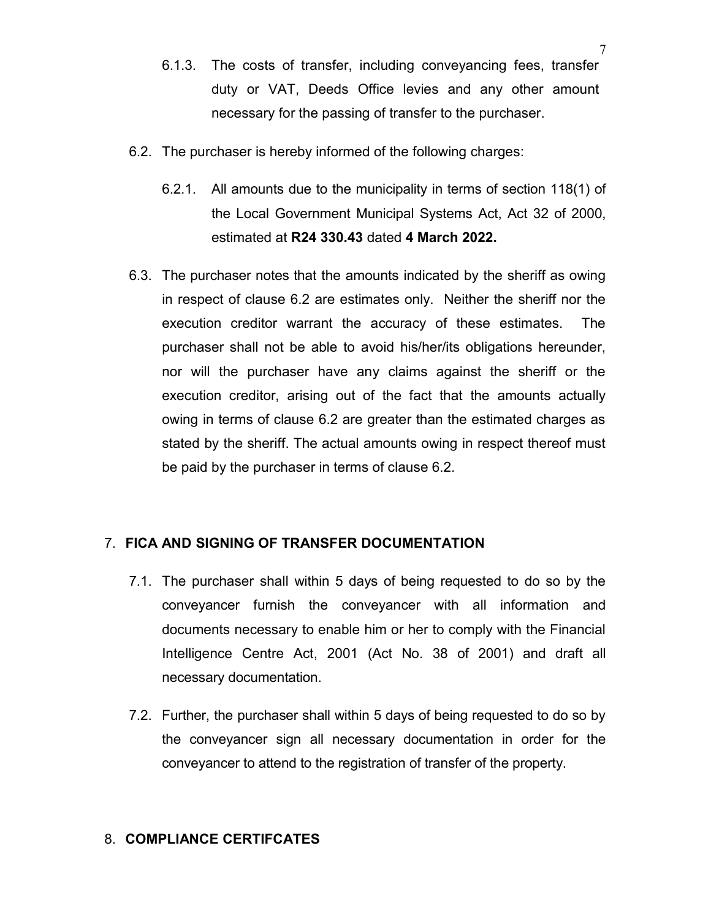- 6.1.3. The costs of transfer, including conveyancing fees, transfer duty or VAT, Deeds Office levies and any other amount necessary for the passing of transfer to the purchaser.
- 6.2. The purchaser is hereby informed of the following charges:
	- 6.2.1. All amounts due to the municipality in terms of section 118(1) of the Local Government Municipal Systems Act, Act 32 of 2000, estimated at R24 330.43 dated 4 March 2022.
- 6.3. The purchaser notes that the amounts indicated by the sheriff as owing in respect of clause 6.2 are estimates only. Neither the sheriff nor the execution creditor warrant the accuracy of these estimates. The purchaser shall not be able to avoid his/her/its obligations hereunder, nor will the purchaser have any claims against the sheriff or the execution creditor, arising out of the fact that the amounts actually owing in terms of clause 6.2 are greater than the estimated charges as stated by the sheriff. The actual amounts owing in respect thereof must be paid by the purchaser in terms of clause 6.2.

### 7. FICA AND SIGNING OF TRANSFER DOCUMENTATION

- 7.1. The purchaser shall within 5 days of being requested to do so by the conveyancer furnish the conveyancer with all information and documents necessary to enable him or her to comply with the Financial Intelligence Centre Act, 2001 (Act No. 38 of 2001) and draft all necessary documentation.
- 7.2. Further, the purchaser shall within 5 days of being requested to do so by the conveyancer sign all necessary documentation in order for the conveyancer to attend to the registration of transfer of the property.

#### 8. COMPLIANCE CERTIFCATES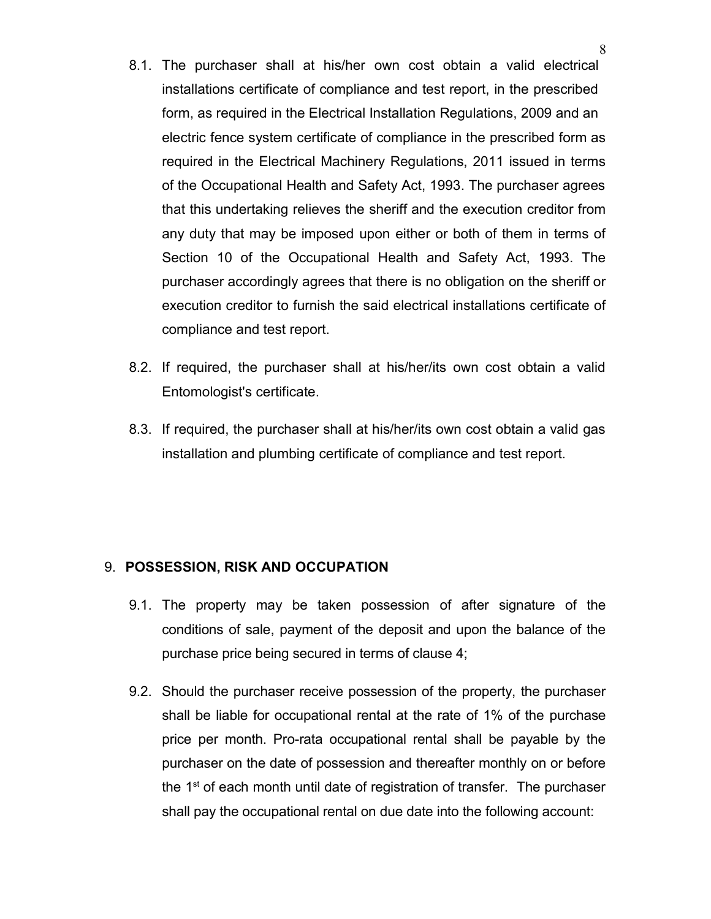- 8.1. The purchaser shall at his/her own cost obtain a valid electrical installations certificate of compliance and test report, in the prescribed form, as required in the Electrical Installation Regulations, 2009 and an electric fence system certificate of compliance in the prescribed form as required in the Electrical Machinery Regulations, 2011 issued in terms of the Occupational Health and Safety Act, 1993. The purchaser agrees that this undertaking relieves the sheriff and the execution creditor from any duty that may be imposed upon either or both of them in terms of Section 10 of the Occupational Health and Safety Act, 1993. The purchaser accordingly agrees that there is no obligation on the sheriff or execution creditor to furnish the said electrical installations certificate of compliance and test report.
- 8.2. If required, the purchaser shall at his/her/its own cost obtain a valid Entomologist's certificate.
- 8.3. If required, the purchaser shall at his/her/its own cost obtain a valid gas installation and plumbing certificate of compliance and test report.

#### 9. POSSESSION, RISK AND OCCUPATION

- 9.1. The property may be taken possession of after signature of the conditions of sale, payment of the deposit and upon the balance of the purchase price being secured in terms of clause 4;
- 9.2. Should the purchaser receive possession of the property, the purchaser shall be liable for occupational rental at the rate of 1% of the purchase price per month. Pro-rata occupational rental shall be payable by the purchaser on the date of possession and thereafter monthly on or before the  $1<sup>st</sup>$  of each month until date of registration of transfer. The purchaser shall pay the occupational rental on due date into the following account: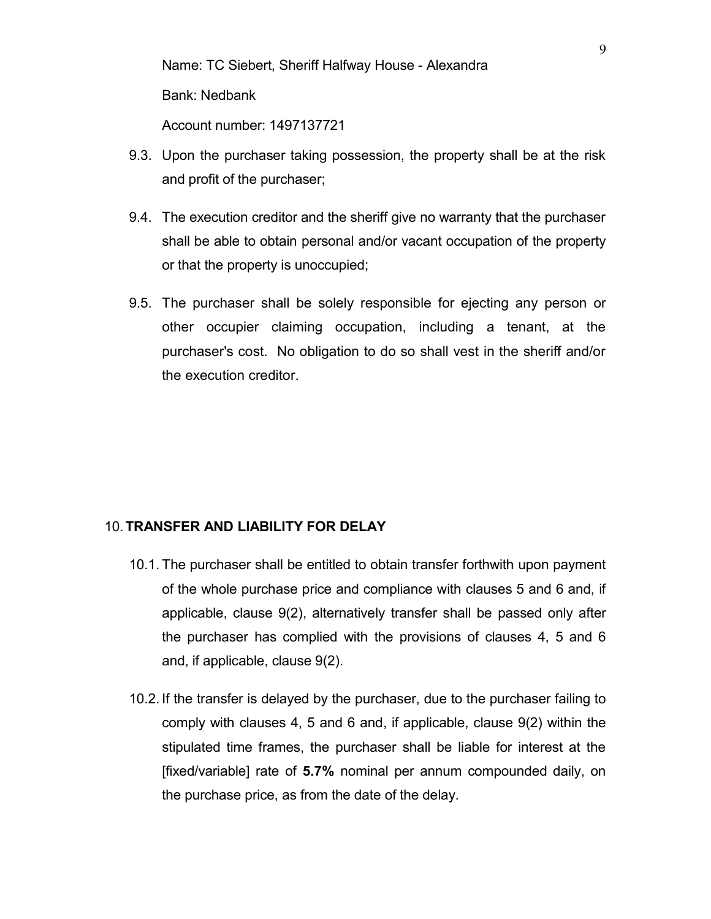Name: TC Siebert, Sheriff Halfway House - Alexandra Bank: Nedbank Account number: 1497137721

- 9.3. Upon the purchaser taking possession, the property shall be at the risk and profit of the purchaser;
- 9.4. The execution creditor and the sheriff give no warranty that the purchaser shall be able to obtain personal and/or vacant occupation of the property or that the property is unoccupied;
- 9.5. The purchaser shall be solely responsible for ejecting any person or other occupier claiming occupation, including a tenant, at the purchaser's cost. No obligation to do so shall vest in the sheriff and/or the execution creditor.

#### 10.TRANSFER AND LIABILITY FOR DELAY

- 10.1. The purchaser shall be entitled to obtain transfer forthwith upon payment of the whole purchase price and compliance with clauses 5 and 6 and, if applicable, clause 9(2), alternatively transfer shall be passed only after the purchaser has complied with the provisions of clauses 4, 5 and 6 and, if applicable, clause 9(2).
- 10.2. If the transfer is delayed by the purchaser, due to the purchaser failing to comply with clauses 4, 5 and 6 and, if applicable, clause 9(2) within the stipulated time frames, the purchaser shall be liable for interest at the [fixed/variable] rate of 5.7% nominal per annum compounded daily, on the purchase price, as from the date of the delay.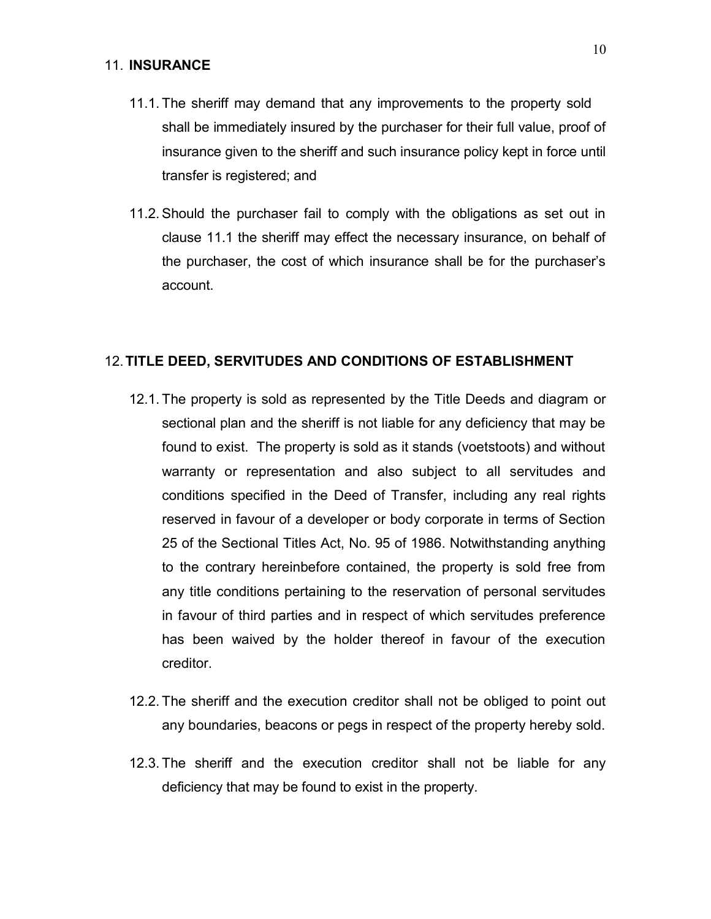#### 11. INSURANCE

- 11.1. The sheriff may demand that any improvements to the property sold shall be immediately insured by the purchaser for their full value, proof of insurance given to the sheriff and such insurance policy kept in force until transfer is registered; and
- 11.2. Should the purchaser fail to comply with the obligations as set out in clause 11.1 the sheriff may effect the necessary insurance, on behalf of the purchaser, the cost of which insurance shall be for the purchaser's account.

#### 12.TITLE DEED, SERVITUDES AND CONDITIONS OF ESTABLISHMENT

- 12.1. The property is sold as represented by the Title Deeds and diagram or sectional plan and the sheriff is not liable for any deficiency that may be found to exist. The property is sold as it stands (voetstoots) and without warranty or representation and also subject to all servitudes and conditions specified in the Deed of Transfer, including any real rights reserved in favour of a developer or body corporate in terms of Section 25 of the Sectional Titles Act, No. 95 of 1986. Notwithstanding anything to the contrary hereinbefore contained, the property is sold free from any title conditions pertaining to the reservation of personal servitudes in favour of third parties and in respect of which servitudes preference has been waived by the holder thereof in favour of the execution creditor.
- 12.2. The sheriff and the execution creditor shall not be obliged to point out any boundaries, beacons or pegs in respect of the property hereby sold.
- 12.3. The sheriff and the execution creditor shall not be liable for any deficiency that may be found to exist in the property.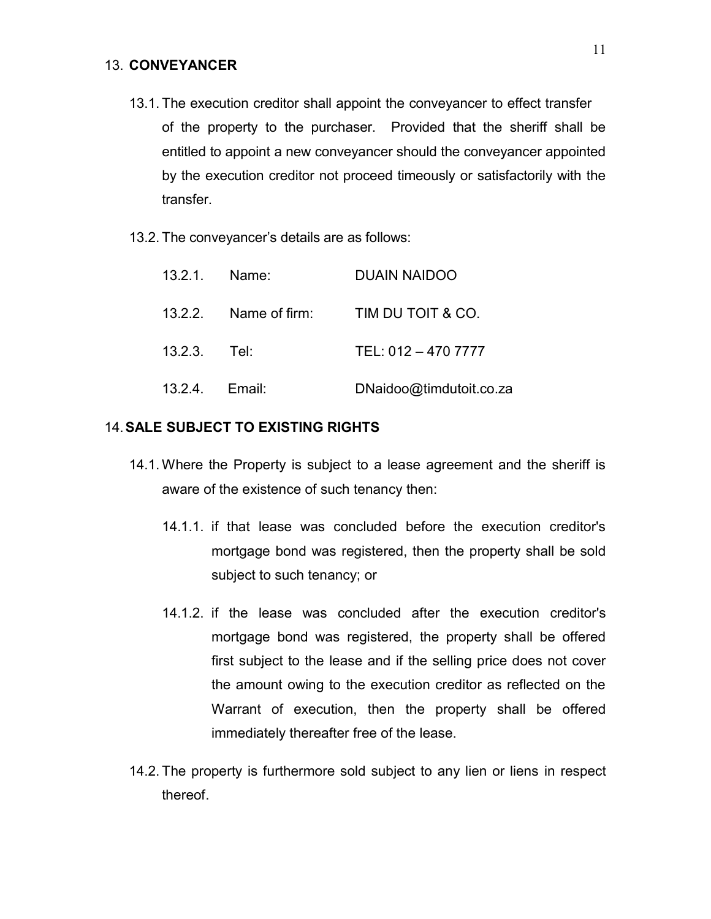#### 13. CONVEYANCER

- 13.1. The execution creditor shall appoint the conveyancer to effect transfer of the property to the purchaser. Provided that the sheriff shall be entitled to appoint a new conveyancer should the conveyancer appointed by the execution creditor not proceed timeously or satisfactorily with the transfer.
- 13.2. The conveyancer's details are as follows:

|                | 13.2.1. Name: | <b>DUAIN NAIDOO</b>                     |
|----------------|---------------|-----------------------------------------|
|                |               | 13.2.2. Name of firm: TIM DU TOIT & CO. |
| 13.2.3. Tel:   |               | TEL: 012 - 470 7777                     |
| 13.2.4. Email: |               | DNaidoo@timdutoit.co.za                 |

#### 14.SALE SUBJECT TO EXISTING RIGHTS

- 14.1. Where the Property is subject to a lease agreement and the sheriff is aware of the existence of such tenancy then:
	- 14.1.1. if that lease was concluded before the execution creditor's mortgage bond was registered, then the property shall be sold subject to such tenancy; or
	- 14.1.2. if the lease was concluded after the execution creditor's mortgage bond was registered, the property shall be offered first subject to the lease and if the selling price does not cover the amount owing to the execution creditor as reflected on the Warrant of execution, then the property shall be offered immediately thereafter free of the lease.
- 14.2. The property is furthermore sold subject to any lien or liens in respect thereof.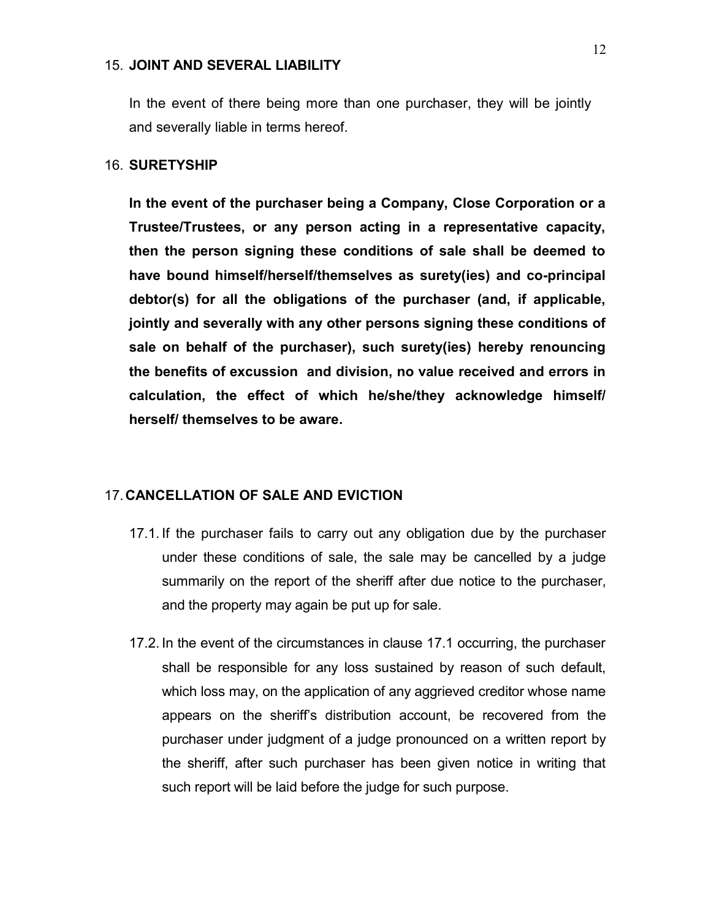#### 15. JOINT AND SEVERAL LIABILITY

In the event of there being more than one purchaser, they will be jointly and severally liable in terms hereof.

#### 16. SURETYSHIP

In the event of the purchaser being a Company, Close Corporation or a Trustee/Trustees, or any person acting in a representative capacity, then the person signing these conditions of sale shall be deemed to have bound himself/herself/themselves as surety(ies) and co-principal debtor(s) for all the obligations of the purchaser (and, if applicable, jointly and severally with any other persons signing these conditions of sale on behalf of the purchaser), such surety(ies) hereby renouncing the benefits of excussion and division, no value received and errors in calculation, the effect of which he/she/they acknowledge himself/ herself/ themselves to be aware.

#### 17.CANCELLATION OF SALE AND EVICTION

- 17.1. If the purchaser fails to carry out any obligation due by the purchaser under these conditions of sale, the sale may be cancelled by a judge summarily on the report of the sheriff after due notice to the purchaser, and the property may again be put up for sale.
- 17.2. In the event of the circumstances in clause 17.1 occurring, the purchaser shall be responsible for any loss sustained by reason of such default, which loss may, on the application of any aggrieved creditor whose name appears on the sheriff's distribution account, be recovered from the purchaser under judgment of a judge pronounced on a written report by the sheriff, after such purchaser has been given notice in writing that such report will be laid before the judge for such purpose.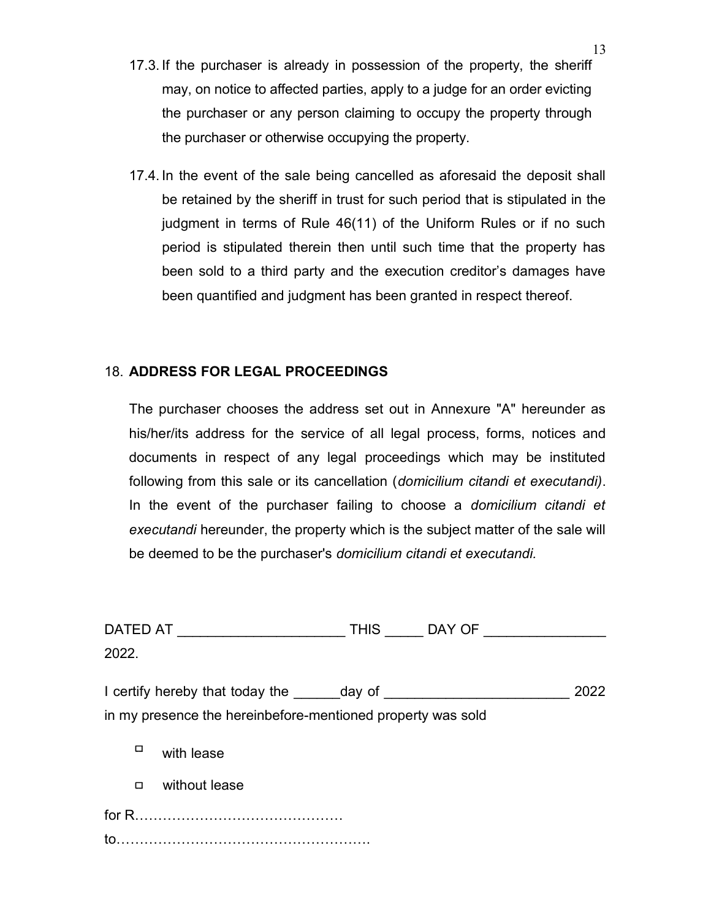- 17.3. If the purchaser is already in possession of the property, the sheriff may, on notice to affected parties, apply to a judge for an order evicting the purchaser or any person claiming to occupy the property through the purchaser or otherwise occupying the property.
- 17.4. In the event of the sale being cancelled as aforesaid the deposit shall be retained by the sheriff in trust for such period that is stipulated in the judgment in terms of Rule 46(11) of the Uniform Rules or if no such period is stipulated therein then until such time that the property has been sold to a third party and the execution creditor's damages have been quantified and judgment has been granted in respect thereof.

### 18. ADDRESS FOR LEGAL PROCEEDINGS

The purchaser chooses the address set out in Annexure "A" hereunder as his/her/its address for the service of all legal process, forms, notices and documents in respect of any legal proceedings which may be instituted following from this sale or its cancellation (*domicilium citandi et executandi*). In the event of the purchaser failing to choose a domicilium citandi et executandi hereunder, the property which is the subject matter of the sale will be deemed to be the purchaser's domicilium citandi et executandi.

|        | DATED AT _____________________                                                                                 | THIS DAY OF |      |
|--------|----------------------------------------------------------------------------------------------------------------|-------------|------|
| 2022.  |                                                                                                                |             |      |
|        | I certify hereby that today the day of service and the service of the service of the service of the service of |             | 2022 |
|        | in my presence the hereinbefore-mentioned property was sold                                                    |             |      |
| □      | with lease                                                                                                     |             |      |
| $\Box$ | without lease                                                                                                  |             |      |
|        |                                                                                                                |             |      |
|        |                                                                                                                |             |      |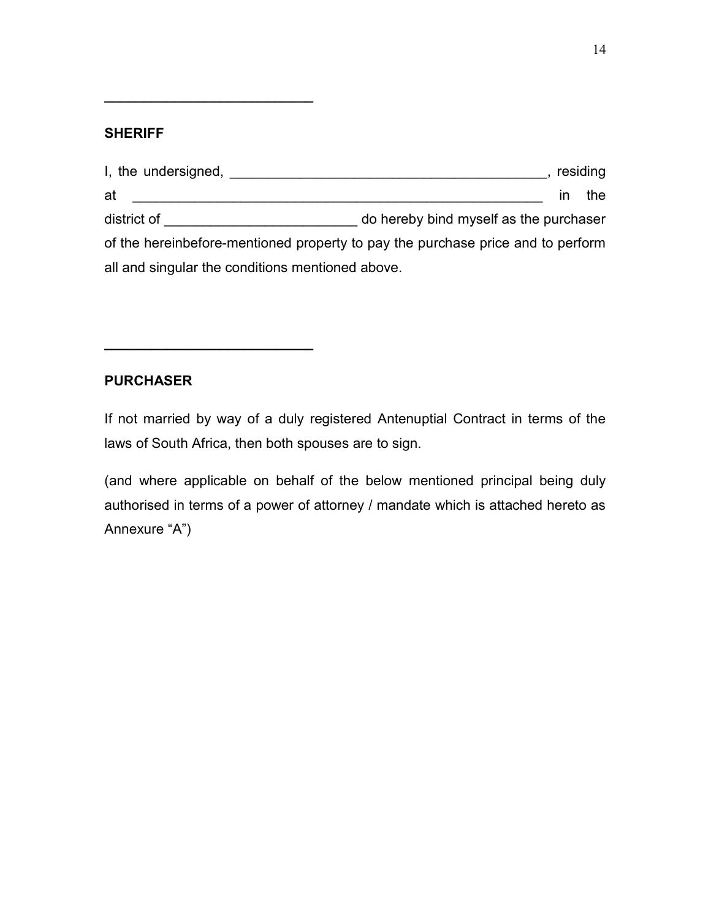### **SHERIFF**

 $\overline{\phantom{a}}$  , which is a set of the set of the set of the set of the set of the set of the set of the set of the set of the set of the set of the set of the set of the set of the set of the set of the set of the set of th

 $\frac{1}{2}$  , and the set of the set of the set of the set of the set of the set of the set of the set of the set of the set of the set of the set of the set of the set of the set of the set of the set of the set of the set

| I, the undersigned,                                                             |                                        |    | residing |
|---------------------------------------------------------------------------------|----------------------------------------|----|----------|
| at                                                                              |                                        | ın | the      |
| district of                                                                     | do hereby bind myself as the purchaser |    |          |
| of the hereinbefore-mentioned property to pay the purchase price and to perform |                                        |    |          |
| all and singular the conditions mentioned above.                                |                                        |    |          |

### PURCHASER

If not married by way of a duly registered Antenuptial Contract in terms of the laws of South Africa, then both spouses are to sign.

(and where applicable on behalf of the below mentioned principal being duly authorised in terms of a power of attorney / mandate which is attached hereto as Annexure "A")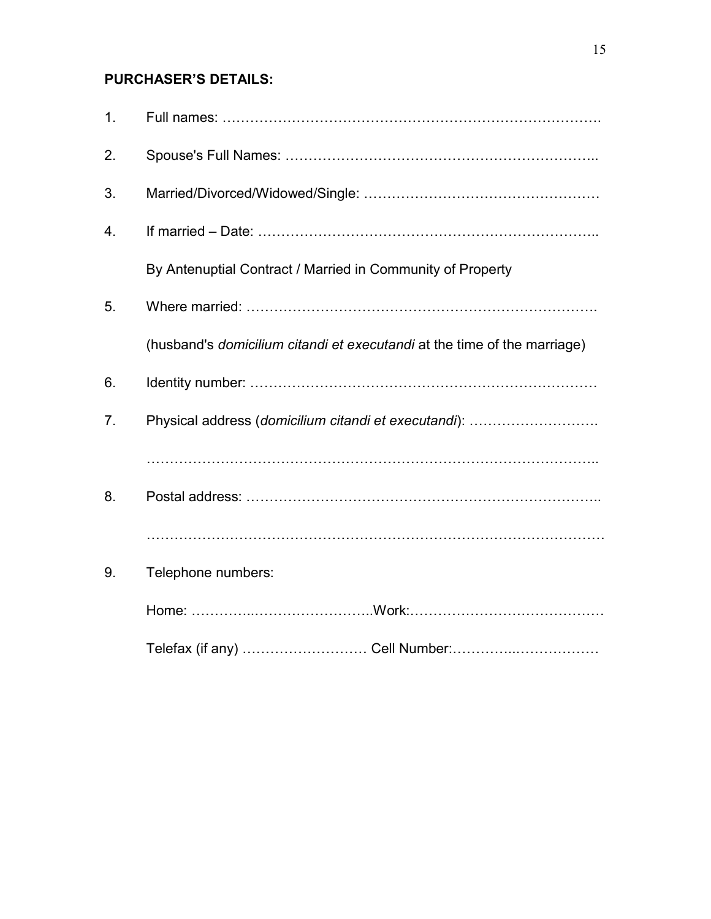# PURCHASER'S DETAILS:

| 1. |                                                                          |
|----|--------------------------------------------------------------------------|
| 2. |                                                                          |
| 3. |                                                                          |
| 4. |                                                                          |
|    | By Antenuptial Contract / Married in Community of Property               |
| 5. |                                                                          |
|    | (husband's domicilium citandi et executandi at the time of the marriage) |
| 6. |                                                                          |
| 7. | Physical address (domicilium citandi et executandi):                     |
|    |                                                                          |
| 8. |                                                                          |
|    |                                                                          |
| 9. | Telephone numbers:                                                       |
|    |                                                                          |
|    |                                                                          |